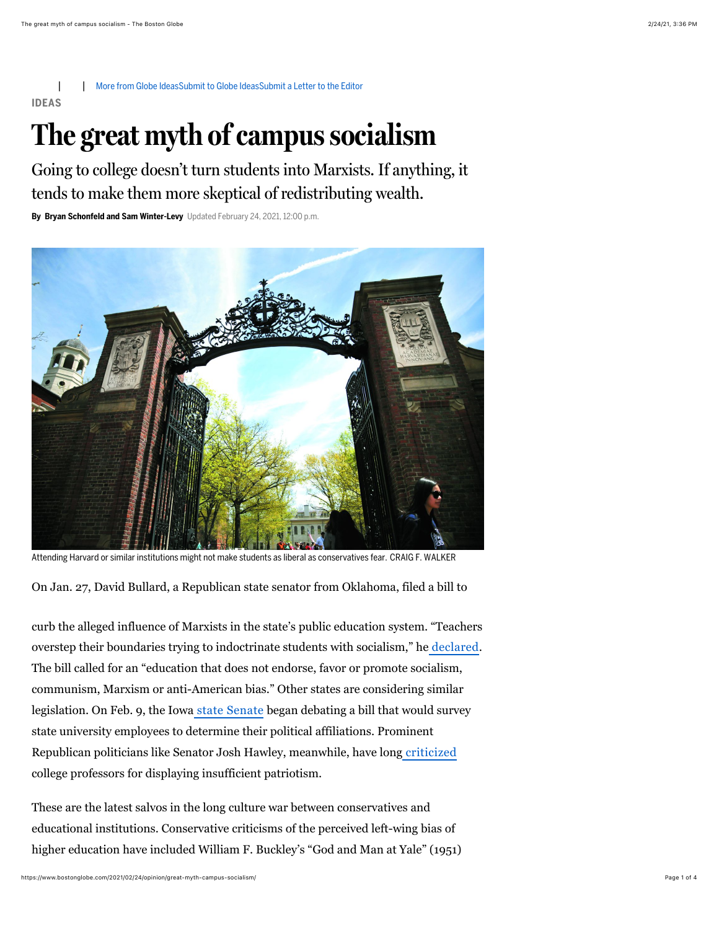| | [More from Globe Ideas](https://www.bostonglobe.com/opinion/ideas/?p1=Article_Utility)[Submit to Globe Ideas](https://bostonglobe.com/2020/05/14/opinion/submit-globe-ideas/?p1=Article_Utility)[Submit a Letter to the Editor](https://www.bostonglobe.com/2011/09/10/bgcom-lettersubmit/XHnJoyNpBDC80qGtpMGSsL/story.html?p1=Article_Utility) **IDEAS**

## **The great myth of campus socialism**

Going to college doesn't turn students into Marxists. If anything, it tends to make them more skeptical of redistributing wealth.

**By Bryan Schonfeld and Sam Winter-Levy** Updated February 24, 2021, 12:00 p.m.



Attending Harvard or similar institutions might not make students as liberal as conservatives fear. CRAIG F. WALKER

On Jan. 27, David Bullard, a Republican state senator from Oklahoma, filed a bill to

curb the alleged influence of Marxists in the state's public education system. "Teachers overstep their boundaries trying to indoctrinate students with socialism," he [declared](https://www.swoknews.com/news/oklahoma-senator-files-education-bill/article_6c6fb5ee-6137-5f83-8ddf-7ae568b46680.html). The bill called for an "education that does not endorse, favor or promote socialism, communism, Marxism or anti-American bias." Other states are considering similar legislation. On Feb. 9, the Iowa [state Senate](https://www.legis.iowa.gov/legislation/BillBook?ba=SF292&ga=89) began debating a bill that would survey state university employees to determine their political affiliations. Prominent Republican politicians like Senator Josh Hawley, meanwhile, have long [criticized](https://www.youtube.com/watch?t=63&v=KPAUQKY9Jyw&feature=youtu.be) college professors for displaying insufficient patriotism.

These are the latest salvos in the long culture war between conservatives and educational institutions. Conservative criticisms of the perceived left-wing bias of higher education have included William F. Buckley's "God and Man at Yale" (1951)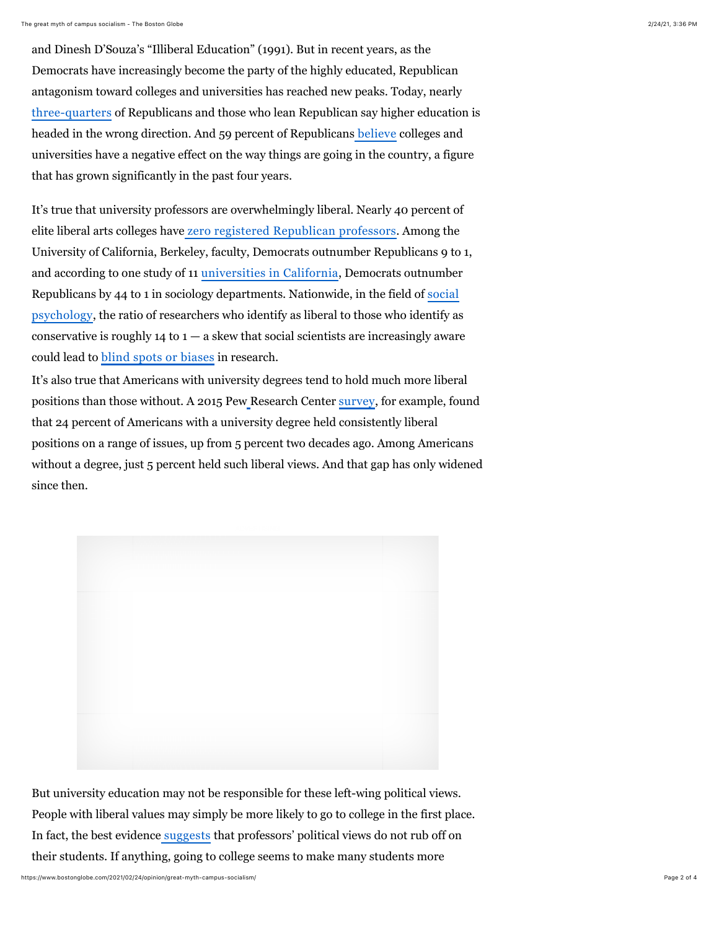and Dinesh D'Souza's "Illiberal Education" (1991). But in recent years, as the Democrats have increasingly become the party of the highly educated, Republican antagonism toward colleges and universities has reached new peaks. Today, nearly [three-quarters](https://www.pewresearch.org/fact-tank/2018/07/26/most-americans-say-higher-ed-is-heading-in-wrong-direction-but-partisans-disagree-on-why/) of Republicans and those who lean Republican say higher education is headed in the wrong direction. And 59 percent of Republicans [believe](https://www.pewsocialtrends.org/essay/the-growing-partisan-divide-in-views-of-higher-education/) colleges and universities have a negative effect on the way things are going in the country, a figure that has grown significantly in the past four years.

It's true that university professors are overwhelmingly liberal. Nearly 40 percent of elite liberal arts colleges have [zero registered Republican professors.](https://www.nas.org/academic-questions/31/2/homogenous_the_political_affiliations_of_elite_liberal_arts_college_faculty) Among the University of California, Berkeley, faculty, Democrats outnumber Republicans 9 to 1, and according to one study of 11 [universities in California](https://www.researchgate.net/publication/233251117_Faculty_partisan_affiliations_in_all_disciplines_A_voter-registration_study), Democrats outnumber Republicans by 44 to 1 in sociology departments. Nationwide, in the field of social [psychology, the ratio of researchers who identify as liberal to those who identify as](http://yoelinbar.net/papers/political_diversity.pdf) conservative is roughly  $14$  to  $1 - a$  skew that social scientists are increasingly aware could lead to [blind spots or biases](https://jsis.washington.edu/global/wp-content/uploads/sites/17/2019/07/political_diversity_will_improve_social_psychological_science_1.pdf) in research.

It's also true that Americans with university degrees tend to hold much more liberal positions than those without. A 2015 Pe[w](https://www.people-press.org/2016/04/26/a-wider-ideological-gap-between-more-and-less-educated-adults/) Research Center [survey](https://www.people-press.org/2016/04/26/a-wider-ideological-gap-between-more-and-less-educated-adults/), for example, found that 24 percent of Americans with a university degree held consistently liberal positions on a range of issues, up from 5 percent two decades ago. Among Americans without a degree, just 5 percent held such liberal views. And that gap has only widened since then.



But university education may not be responsible for these left-wing political views. People with liberal values may simply be more likely to go to college in the first place. In fact, the best evidenc[e](http://journals.cambridge.org/action/displayAbstract?fromPage=online&aid=2315520) [suggests](http://journals.cambridge.org/action/displayAbstract?fromPage=online&aid=2315520) that professors' political views do not rub off on their students. If anything, going to college seems to make many students more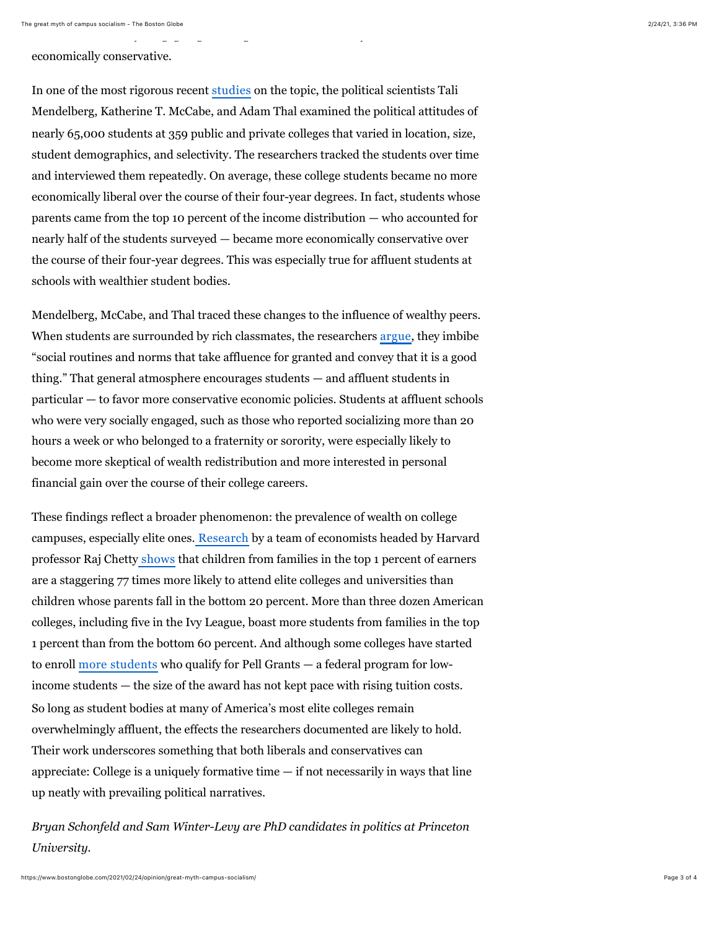economically conservative.

In one of the most rigorous recent [studies](https://onlinelibrary.wiley.com/doi/abs/10.1111/ajps.12265) on the topic, the political scientists Tali Mendelberg, Katherine T. McCabe, and Adam Thal examined the political attitudes of nearly 65,000 students at 359 public and private colleges that varied in location, size, student demographics, and selectivity. The researchers tracked the students over time and interviewed them repeatedly. On average, these college students became no more economically liberal over the course of their four-year degrees. In fact, students whose parents came from the top 10 percent of the income distribution — who accounted for nearly half of the students surveyed — became more economically conservative over the course of their four-year degrees. This was especially true for affluent students at schools with wealthier student bodies.

their students. If anything, going to college seems to make many students more

Mendelberg, McCabe, and Thal traced these changes to the influence of wealthy peers. When students are surrounded by rich classmates, the researchers [argue](https://scholars.org/brief/how-affluent-college-campuses-encourage-support-conservative-economic-policies), they imbibe "social routines and norms that take affluence for granted and convey that it is a good thing." That general atmosphere encourages students — and affluent students in particular — to favor more conservative economic policies. Students at affluent schools who were very socially engaged, such as those who reported socializing more than 20 hours a week or who belonged to a fraternity or sorority, were especially likely to become more skeptical of wealth redistribution and more interested in personal financial gain over the course of their college careers.

These findings reflect a broader phenomenon: the prevalence of wealth on college campuses, especially elite ones[.](https://opportunityinsights.org/education/) [Research](https://opportunityinsights.org/education/) by a team of economists headed by Harvard professor Raj Chetty [shows](https://opportunityinsights.org/wp-content/uploads/2020/02/coll_mrc_qje_paper.pdf) that children from families in the top 1 percent of earners are a staggering 77 times more likely to attend elite colleges and universities than children whose parents fall in the bottom 20 percent. More than three dozen American colleges, including five in the Ivy League, boast more students from families in the top 1 percent than from the bottom 60 percent. And although some colleges have started to enroll [more students](https://www.cnbc.com/2020/08/02/more-low-income-students-going-to-college-but-federal-aid-lags-costs.html) who qualify for Pell Grants — a federal program for lowincome students — the size of the award has not kept pace with rising tuition costs. So long as student bodies at many of America's most elite colleges remain overwhelmingly affluent, the effects the researchers documented are likely to hold. Their work underscores something that both liberals and conservatives can appreciate: College is a uniquely formative time  $-$  if not necessarily in ways that line up neatly with prevailing political narratives.

*Bryan Schonfeld and Sam Winter-Levy are PhD candidates in politics at Princeton University.*